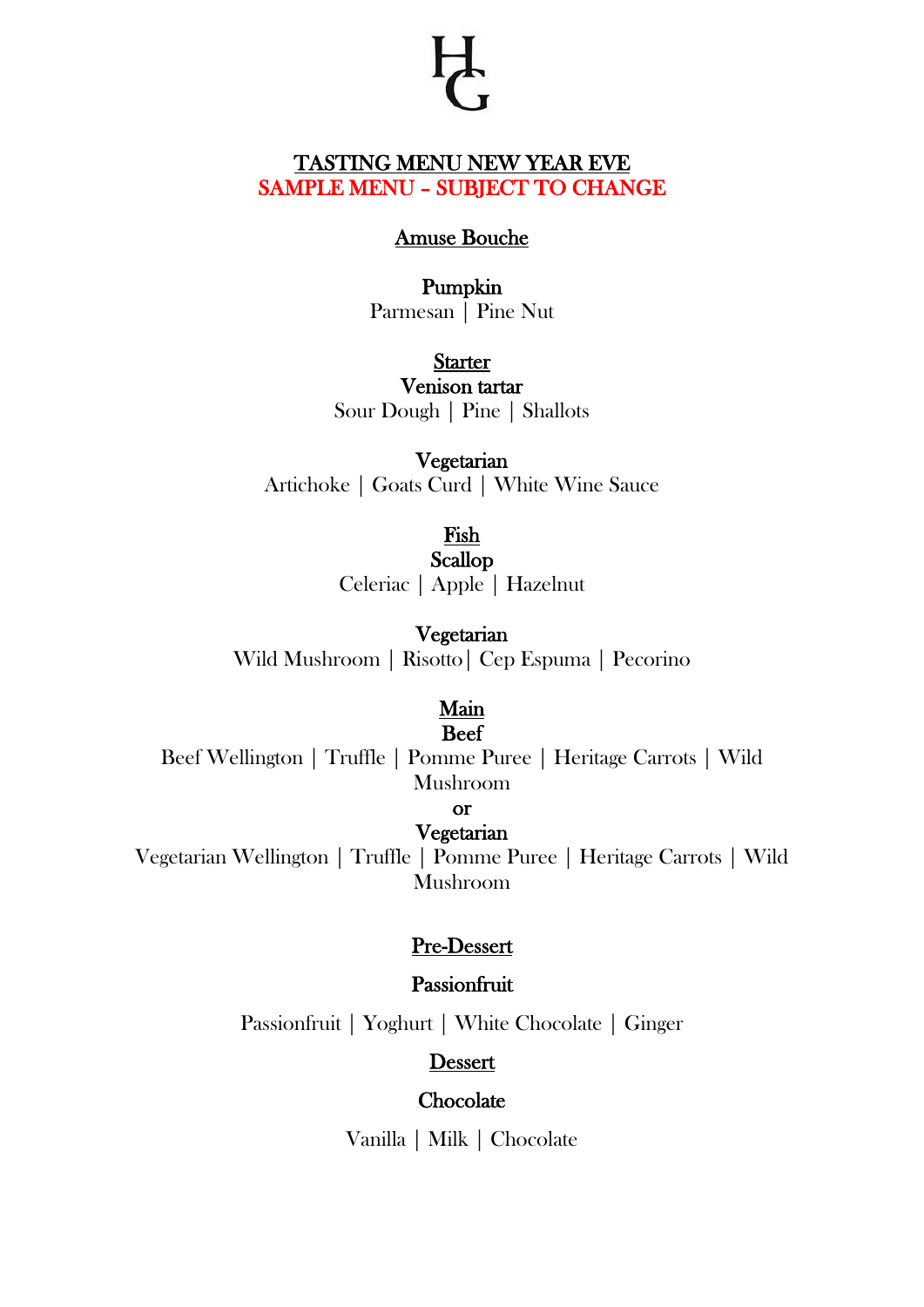## TASTING MENU NEW YEAR EVE SAMPLE MENU – SUBJECT TO CHANGE

#### Amuse Bouche

### Pumpkin Parmesan | Pine Nut

**Starter** Venison tartar Sour Dough | Pine | Shallots

Vegetarian Artichoke | Goats Curd | White Wine Sauce

> Fish Scallop Celeriac | Apple | Hazelnut

Vegetarian Wild Mushroom | Risotto| Cep Espuma | Pecorino

#### Main Beef

Beef Wellington | Truffle | Pomme Puree | Heritage Carrots | Wild Mushroom

or

## Vegetarian

Vegetarian Wellington | Truffle | Pomme Puree | Heritage Carrots | Wild Mushroom

## Pre-Dessert

### Passionfruit

Passionfruit | Yoghurt | White Chocolate | Ginger

Dessert

#### **Chocolate**

Vanilla | Milk | Chocolate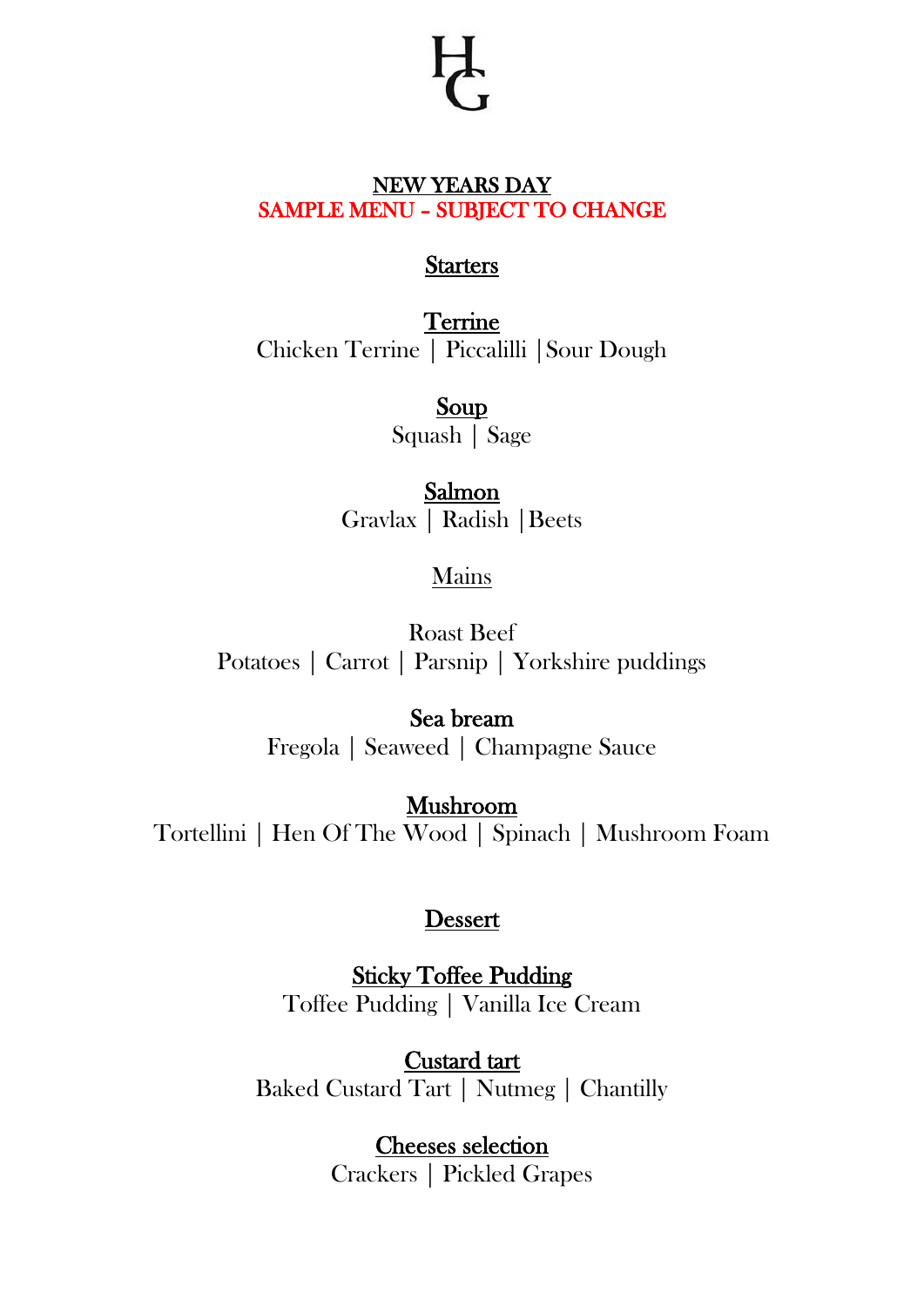## NEW YEARS DAY SAMPLE MENU – SUBJECT TO CHANGE

# **Starters**

**Terrine** Chicken Terrine | Piccalilli |Sour Dough

> Soup Squash | Sage

Salmon Gravlax | Radish |Beets

## Mains

Roast Beef Potatoes | Carrot | Parsnip | Yorkshire puddings

> Sea bream Fregola | Seaweed | Champagne Sauce

Mushroom Tortellini | Hen Of The Wood | Spinach | Mushroom Foam

## Dessert

Sticky Toffee Pudding Toffee Pudding | Vanilla Ice Cream

Custard tart Baked Custard Tart | Nutmeg | Chantilly

> Cheeses selection Crackers | Pickled Grapes